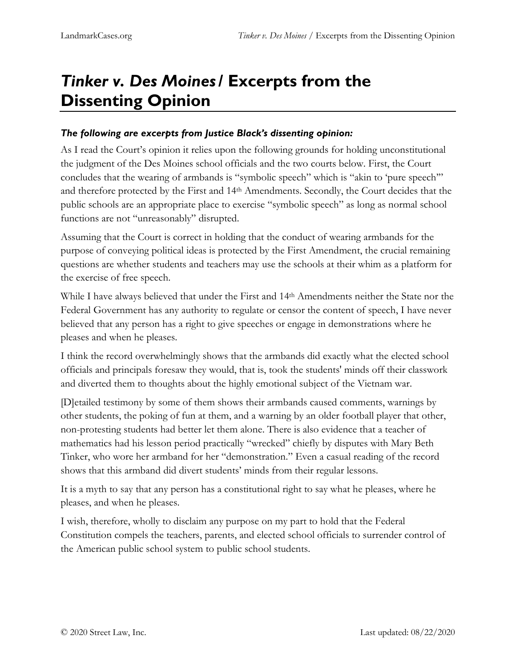## *Tinker v. Des Moines***/ Excerpts from the Dissenting Opinion**

## *The following are excerpts from Justice Black's dissenting opinion:*

As I read the Court's opinion it relies upon the following grounds for holding unconstitutional the judgment of the Des Moines school officials and the two courts below. First, the Court concludes that the wearing of armbands is "symbolic speech" which is "akin to 'pure speech'" and therefore protected by the First and 14th Amendments. Secondly, the Court decides that the public schools are an appropriate place to exercise "symbolic speech" as long as normal school functions are not "unreasonably" disrupted.

Assuming that the Court is correct in holding that the conduct of wearing armbands for the purpose of conveying political ideas is protected by the First Amendment, the crucial remaining questions are whether students and teachers may use the schools at their whim as a platform for the exercise of free speech.

While I have always believed that under the First and 14th Amendments neither the State nor the Federal Government has any authority to regulate or censor the content of speech, I have never believed that any person has a right to give speeches or engage in demonstrations where he pleases and when he pleases.

I think the record overwhelmingly shows that the armbands did exactly what the elected school officials and principals foresaw they would, that is, took the students' minds off their classwork and diverted them to thoughts about the highly emotional subject of the Vietnam war.

[D]etailed testimony by some of them shows their armbands caused comments, warnings by other students, the poking of fun at them, and a warning by an older football player that other, non-protesting students had better let them alone. There is also evidence that a teacher of mathematics had his lesson period practically "wrecked" chiefly by disputes with Mary Beth Tinker, who wore her armband for her "demonstration." Even a casual reading of the record shows that this armband did divert students' minds from their regular lessons.

It is a myth to say that any person has a constitutional right to say what he pleases, where he pleases, and when he pleases.

I wish, therefore, wholly to disclaim any purpose on my part to hold that the Federal Constitution compels the teachers, parents, and elected school officials to surrender control of the American public school system to public school students.